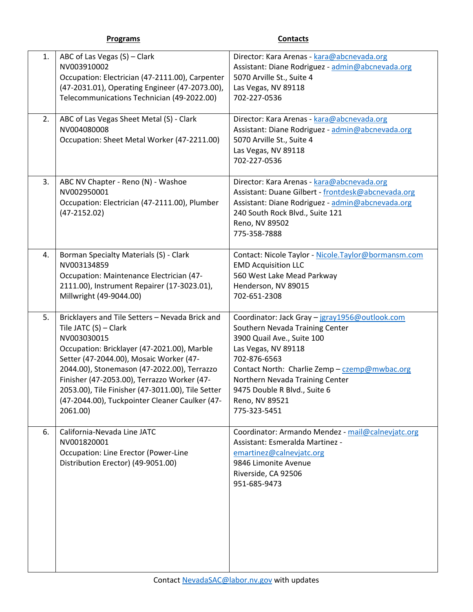|  |  | σ | rain | ĸ |  |
|--|--|---|------|---|--|
|  |  |   |      |   |  |

**Programs Contacts** 

| 1.<br>2. | ABC of Las Vegas (S) - Clark<br>NV003910002<br>Occupation: Electrician (47-2111.00), Carpenter<br>(47-2031.01), Operating Engineer (47-2073.00),<br>Telecommunications Technician (49-2022.00)<br>ABC of Las Vegas Sheet Metal (S) - Clark                                                                                                                                                         | Director: Kara Arenas - kara@abcnevada.org<br>Assistant: Diane Rodriguez - admin@abcnevada.org<br>5070 Arville St., Suite 4<br>Las Vegas, NV 89118<br>702-227-0536<br>Director: Kara Arenas - kara@abcnevada.org                                                                                             |
|----------|----------------------------------------------------------------------------------------------------------------------------------------------------------------------------------------------------------------------------------------------------------------------------------------------------------------------------------------------------------------------------------------------------|--------------------------------------------------------------------------------------------------------------------------------------------------------------------------------------------------------------------------------------------------------------------------------------------------------------|
|          | NV004080008<br>Occupation: Sheet Metal Worker (47-2211.00)                                                                                                                                                                                                                                                                                                                                         | Assistant: Diane Rodriguez - admin@abcnevada.org<br>5070 Arville St., Suite 4<br>Las Vegas, NV 89118<br>702-227-0536                                                                                                                                                                                         |
| 3.       | ABC NV Chapter - Reno (N) - Washoe<br>NV002950001<br>Occupation: Electrician (47-2111.00), Plumber<br>$(47-2152.02)$                                                                                                                                                                                                                                                                               | Director: Kara Arenas - kara@abcnevada.org<br>Assistant: Duane Gilbert - frontdesk@abcnevada.org<br>Assistant: Diane Rodriguez - admin@abcnevada.org<br>240 South Rock Blvd., Suite 121<br>Reno, NV 89502<br>775-358-7888                                                                                    |
| 4.       | Borman Specialty Materials (S) - Clark<br>NV003134859<br>Occupation: Maintenance Electrician (47-<br>2111.00), Instrument Repairer (17-3023.01),<br>Millwright (49-9044.00)                                                                                                                                                                                                                        | Contact: Nicole Taylor - Nicole.Taylor@bormansm.com<br><b>EMD Acquisition LLC</b><br>560 West Lake Mead Parkway<br>Henderson, NV 89015<br>702-651-2308                                                                                                                                                       |
| 5.       | Bricklayers and Tile Setters - Nevada Brick and<br>Tile JATC (S) - Clark<br>NV003030015<br>Occupation: Bricklayer (47-2021.00), Marble<br>Setter (47-2044.00), Mosaic Worker (47-<br>2044.00), Stonemason (47-2022.00), Terrazzo<br>Finisher (47-2053.00), Terrazzo Worker (47-<br>2053.00), Tile Finisher (47-3011.00), Tile Setter<br>(47-2044.00), Tuckpointer Cleaner Caulker (47-<br>2061.00) | Coordinator: Jack Gray - jgray1956@outlook.com<br>Southern Nevada Training Center<br>3900 Quail Ave., Suite 100<br>Las Vegas, NV 89118<br>702-876-6563<br>Contact North: Charlie Zemp - czemp@mwbac.org<br>Northern Nevada Training Center<br>9475 Double R Blvd., Suite 6<br>Reno, NV 89521<br>775-323-5451 |
| 6.       | California-Nevada Line JATC<br>NV001820001<br>Occupation: Line Erector (Power-Line<br>Distribution Erector) (49-9051.00)                                                                                                                                                                                                                                                                           | Coordinator: Armando Mendez - mail@calnevjatc.org<br>Assistant: Esmeralda Martinez -<br>emartinez@calnevjatc.org<br>9846 Limonite Avenue<br>Riverside, CA 92506<br>951-685-9473                                                                                                                              |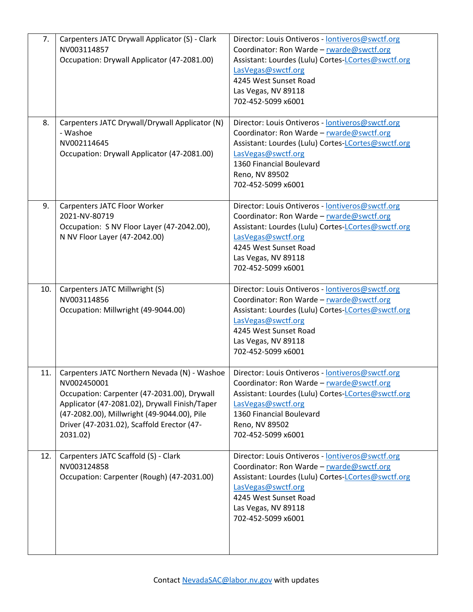| 7.  | Carpenters JATC Drywall Applicator (S) - Clark<br>NV003114857<br>Occupation: Drywall Applicator (47-2081.00)                                                                                                                                                         | Director: Louis Ontiveros - lontiveros@swctf.org<br>Coordinator: Ron Warde - rwarde@swctf.org<br>Assistant: Lourdes (Lulu) Cortes-LCortes@swctf.org<br>LasVegas@swctf.org<br>4245 West Sunset Road<br>Las Vegas, NV 89118<br>702-452-5099 x6001 |
|-----|----------------------------------------------------------------------------------------------------------------------------------------------------------------------------------------------------------------------------------------------------------------------|-------------------------------------------------------------------------------------------------------------------------------------------------------------------------------------------------------------------------------------------------|
| 8.  | Carpenters JATC Drywall/Drywall Applicator (N)<br>- Washoe<br>NV002114645<br>Occupation: Drywall Applicator (47-2081.00)                                                                                                                                             | Director: Louis Ontiveros - lontiveros@swctf.org<br>Coordinator: Ron Warde - rwarde@swctf.org<br>Assistant: Lourdes (Lulu) Cortes-LCortes@swctf.org<br>LasVegas@swctf.org<br>1360 Financial Boulevard<br>Reno, NV 89502<br>702-452-5099 x6001   |
| 9.  | Carpenters JATC Floor Worker<br>2021-NV-80719<br>Occupation: S NV Floor Layer (47-2042.00),<br>N NV Floor Layer (47-2042.00)                                                                                                                                         | Director: Louis Ontiveros - lontiveros@swctf.org<br>Coordinator: Ron Warde - rwarde@swctf.org<br>Assistant: Lourdes (Lulu) Cortes-LCortes@swctf.org<br>LasVegas@swctf.org<br>4245 West Sunset Road<br>Las Vegas, NV 89118<br>702-452-5099 x6001 |
| 10. | Carpenters JATC Millwright (S)<br>NV003114856<br>Occupation: Millwright (49-9044.00)                                                                                                                                                                                 | Director: Louis Ontiveros - lontiveros@swctf.org<br>Coordinator: Ron Warde - rwarde@swctf.org<br>Assistant: Lourdes (Lulu) Cortes-LCortes@swctf.org<br>LasVegas@swctf.org<br>4245 West Sunset Road<br>Las Vegas, NV 89118<br>702-452-5099 x6001 |
| 11. | Carpenters JATC Northern Nevada (N) - Washoe<br>NV002450001<br>Occupation: Carpenter (47-2031.00), Drywall<br>Applicator (47-2081.02), Drywall Finish/Taper<br>(47-2082.00), Millwright (49-9044.00), Pile<br>Driver (47-2031.02), Scaffold Erector (47-<br>2031.02) | Director: Louis Ontiveros - lontiveros@swctf.org<br>Coordinator: Ron Warde - rwarde@swctf.org<br>Assistant: Lourdes (Lulu) Cortes-LCortes@swctf.org<br>LasVegas@swctf.org<br>1360 Financial Boulevard<br>Reno, NV 89502<br>702-452-5099 x6001   |
| 12. | Carpenters JATC Scaffold (S) - Clark<br>NV003124858<br>Occupation: Carpenter (Rough) (47-2031.00)                                                                                                                                                                    | Director: Louis Ontiveros - lontiveros@swctf.org<br>Coordinator: Ron Warde - rwarde@swctf.org<br>Assistant: Lourdes (Lulu) Cortes-LCortes@swctf.org<br>LasVegas@swctf.org<br>4245 West Sunset Road<br>Las Vegas, NV 89118<br>702-452-5099 x6001 |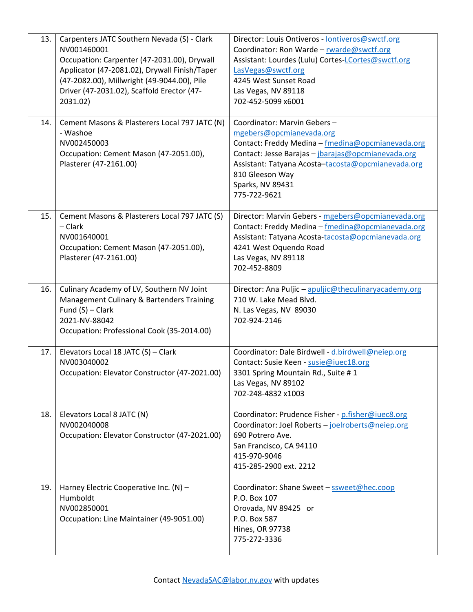| 13. | Carpenters JATC Southern Nevada (S) - Clark<br>NV001460001<br>Occupation: Carpenter (47-2031.00), Drywall<br>Applicator (47-2081.02), Drywall Finish/Taper<br>(47-2082.00), Millwright (49-9044.00), Pile<br>Driver (47-2031.02), Scaffold Erector (47-<br>2031.02) | Director: Louis Ontiveros - lontiveros@swctf.org<br>Coordinator: Ron Warde - rwarde@swctf.org<br>Assistant: Lourdes (Lulu) Cortes-LCortes@swctf.org<br>LasVegas@swctf.org<br>4245 West Sunset Road<br>Las Vegas, NV 89118<br>702-452-5099 x6001                                 |
|-----|---------------------------------------------------------------------------------------------------------------------------------------------------------------------------------------------------------------------------------------------------------------------|---------------------------------------------------------------------------------------------------------------------------------------------------------------------------------------------------------------------------------------------------------------------------------|
| 14. | Cement Masons & Plasterers Local 797 JATC (N)<br>- Washoe<br>NV002450003<br>Occupation: Cement Mason (47-2051.00),<br>Plasterer (47-2161.00)                                                                                                                        | Coordinator: Marvin Gebers-<br>mgebers@opcmianevada.org<br>Contact: Freddy Medina - fmedina@opcmianevada.org<br>Contact: Jesse Barajas - jbarajas@opcmianevada.org<br>Assistant: Tatyana Acosta-tacosta@opcmianevada.org<br>810 Gleeson Way<br>Sparks, NV 89431<br>775-722-9621 |
| 15. | Cement Masons & Plasterers Local 797 JATC (S)<br>– Clark<br>NV001640001<br>Occupation: Cement Mason (47-2051.00),<br>Plasterer (47-2161.00)                                                                                                                         | Director: Marvin Gebers - mgebers@opcmianevada.org<br>Contact: Freddy Medina - fmedina@opcmianevada.org<br>Assistant: Tatyana Acosta-tacosta@opcmianevada.org<br>4241 West Oquendo Road<br>Las Vegas, NV 89118<br>702-452-8809                                                  |
| 16. | Culinary Academy of LV, Southern NV Joint<br>Management Culinary & Bartenders Training<br>Fund $(S)$ – Clark<br>2021-NV-88042<br>Occupation: Professional Cook (35-2014.00)                                                                                         | Director: Ana Puljic - apuljic@theculinaryacademy.org<br>710 W. Lake Mead Blvd.<br>N. Las Vegas, NV 89030<br>702-924-2146                                                                                                                                                       |
| 17. | Elevators Local 18 JATC (S) - Clark<br>NV003040002<br>Occupation: Elevator Constructor (47-2021.00)                                                                                                                                                                 | Coordinator: Dale Birdwell - d.birdwell@neiep.org<br>Contact: Susie Keen - susie@iuec18.org<br>3301 Spring Mountain Rd., Suite #1<br>Las Vegas, NV 89102<br>702-248-4832 x1003                                                                                                  |
| 18. | Elevators Local 8 JATC (N)<br>NV002040008<br>Occupation: Elevator Constructor (47-2021.00)                                                                                                                                                                          | Coordinator: Prudence Fisher - p.fisher@iuec8.org<br>Coordinator: Joel Roberts - joelroberts@neiep.org<br>690 Potrero Ave.<br>San Francisco, CA 94110<br>415-970-9046<br>415-285-2900 ext. 2212                                                                                 |
| 19. | Harney Electric Cooperative Inc. (N) -<br>Humboldt<br>NV002850001<br>Occupation: Line Maintainer (49-9051.00)                                                                                                                                                       | Coordinator: Shane Sweet - ssweet@hec.coop<br>P.O. Box 107<br>Orovada, NV 89425 or<br>P.O. Box 587<br>Hines, OR 97738<br>775-272-3336                                                                                                                                           |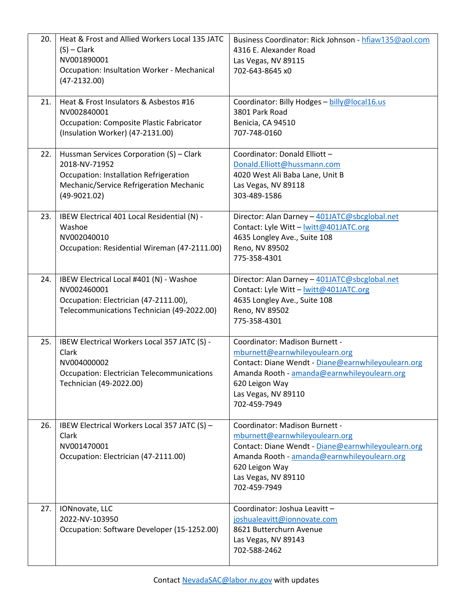| 20. | Heat & Frost and Allied Workers Local 135 JATC<br>$(S)$ – Clark<br>NV001890001<br>Occupation: Insultation Worker - Mechanical<br>$(47-2132.00)$                  | Business Coordinator: Rick Johnson - hfiaw135@aol.com<br>4316 E. Alexander Road<br>Las Vegas, NV 89115<br>702-643-8645 x0                                                                                                      |
|-----|------------------------------------------------------------------------------------------------------------------------------------------------------------------|--------------------------------------------------------------------------------------------------------------------------------------------------------------------------------------------------------------------------------|
| 21. | Heat & Frost Insulators & Asbestos #16<br>NV002840001<br><b>Occupation: Composite Plastic Fabricator</b><br>(Insulation Worker) (47-2131.00)                     | Coordinator: Billy Hodges - billy@local16.us<br>3801 Park Road<br>Benicia, CA 94510<br>707-748-0160                                                                                                                            |
| 22. | Hussman Services Corporation (S) - Clark<br>2018-NV-71952<br>Occupation: Installation Refrigeration<br>Mechanic/Service Refrigeration Mechanic<br>$(49-9021.02)$ | Coordinator: Donald Elliott -<br>Donald.Elliott@hussmann.com<br>4020 West Ali Baba Lane, Unit B<br>Las Vegas, NV 89118<br>303-489-1586                                                                                         |
| 23. | IBEW Electrical 401 Local Residential (N) -<br>Washoe<br>NV002040010<br>Occupation: Residential Wireman (47-2111.00)                                             | Director: Alan Darney - 401JATC@sbcglobal.net<br>Contact: Lyle Witt - lwitt@401JATC.org<br>4635 Longley Ave., Suite 108<br>Reno, NV 89502<br>775-358-4301                                                                      |
| 24. | IBEW Electrical Local #401 (N) - Washoe<br>NV002460001<br>Occupation: Electrician (47-2111.00),<br>Telecommunications Technician (49-2022.00)                    | Director: Alan Darney - 401JATC@sbcglobal.net<br>Contact: Lyle Witt - lwitt@401JATC.org<br>4635 Longley Ave., Suite 108<br>Reno, NV 89502<br>775-358-4301                                                                      |
| 25. | IBEW Electrical Workers Local 357 JATC (S) -<br>Clark<br>NV004000002<br><b>Occupation: Electrician Telecommunications</b><br>Technician (49-2022.00)             | Coordinator: Madison Burnett -<br>mburnett@earnwhileyoulearn.org<br>Contact: Diane Wendt - Diane@earnwhileyoulearn.org<br>Amanda Rooth - amanda@earnwhileyoulearn.org<br>620 Leigon Way<br>Las Vegas, NV 89110<br>702-459-7949 |
| 26. | IBEW Electrical Workers Local 357 JATC (S) -<br>Clark<br>NV001470001<br>Occupation: Electrician (47-2111.00)                                                     | Coordinator: Madison Burnett -<br>mburnett@earnwhileyoulearn.org<br>Contact: Diane Wendt - Diane@earnwhileyoulearn.org<br>Amanda Rooth - amanda@earnwhileyoulearn.org<br>620 Leigon Way<br>Las Vegas, NV 89110<br>702-459-7949 |
| 27. | IONnovate, LLC<br>2022-NV-103950<br>Occupation: Software Developer (15-1252.00)                                                                                  | Coordinator: Joshua Leavitt -<br>joshualeavitt@ionnovate.com<br>8621 Butterchurn Avenue<br>Las Vegas, NV 89143<br>702-588-2462                                                                                                 |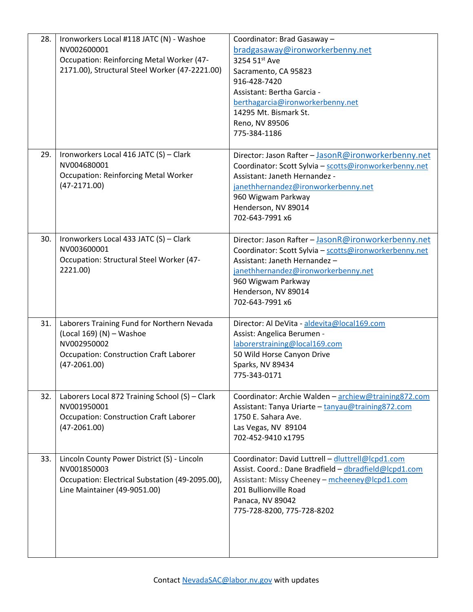| 28. | Ironworkers Local #118 JATC (N) - Washoe<br>NV002600001<br>Occupation: Reinforcing Metal Worker (47-<br>2171.00), Structural Steel Worker (47-2221.00)   | Coordinator: Brad Gasaway -<br>bradgasaway@ironworkerbenny.net<br>3254 51st Ave<br>Sacramento, CA 95823<br>916-428-7420<br>Assistant: Bertha Garcia -<br>berthagarcia@ironworkerbenny.net<br>14295 Mt. Bismark St.<br>Reno, NV 89506<br>775-384-1186  |
|-----|----------------------------------------------------------------------------------------------------------------------------------------------------------|-------------------------------------------------------------------------------------------------------------------------------------------------------------------------------------------------------------------------------------------------------|
| 29. | Ironworkers Local 416 JATC (S) - Clark<br>NV004680001<br><b>Occupation: Reinforcing Metal Worker</b><br>$(47-2171.00)$                                   | Director: Jason Rafter - JasonR@ironworkerbenny.net<br>Coordinator: Scott Sylvia - scotts@ironworkerbenny.net<br>Assistant: Janeth Hernandez -<br>janethhernandez@ironworkerbenny.net<br>960 Wigwam Parkway<br>Henderson, NV 89014<br>702-643-7991 x6 |
| 30. | Ironworkers Local 433 JATC (S) - Clark<br>NV003600001<br>Occupation: Structural Steel Worker (47-<br>2221.00)                                            | Director: Jason Rafter - JasonR@ironworkerbenny.net<br>Coordinator: Scott Sylvia - scotts@ironworkerbenny.net<br>Assistant: Janeth Hernandez-<br>janethhernandez@ironworkerbenny.net<br>960 Wigwam Parkway<br>Henderson, NV 89014<br>702-643-7991 x6  |
| 31. | Laborers Training Fund for Northern Nevada<br>(Local 169) (N) - Washoe<br>NV002950002<br><b>Occupation: Construction Craft Laborer</b><br>$(47-2061.00)$ | Director: Al DeVita - aldevita@local169.com<br>Assist: Angelica Berumen -<br>laborerstraining@local169.com<br>50 Wild Horse Canyon Drive<br>Sparks, NV 89434<br>775-343-0171                                                                          |
| 32. | Laborers Local 872 Training School (S) - Clark<br>NV001950001<br><b>Occupation: Construction Craft Laborer</b><br>$(47-2061.00)$                         | Coordinator: Archie Walden - archiew@training872.com<br>Assistant: Tanya Uriarte - tanyau@training872.com<br>1750 E. Sahara Ave.<br>Las Vegas, NV 89104<br>702-452-9410 x1795                                                                         |
| 33. | Lincoln County Power District (S) - Lincoln<br>NV001850003<br>Occupation: Electrical Substation (49-2095.00),<br>Line Maintainer (49-9051.00)            | Coordinator: David Luttrell - dluttrell@lcpd1.com<br>Assist. Coord.: Dane Bradfield - dbradfield@lcpd1.com<br>Assistant: Missy Cheeney - mcheeney@lcpd1.com<br>201 Bullionville Road<br>Panaca, NV 89042<br>775-728-8200, 775-728-8202                |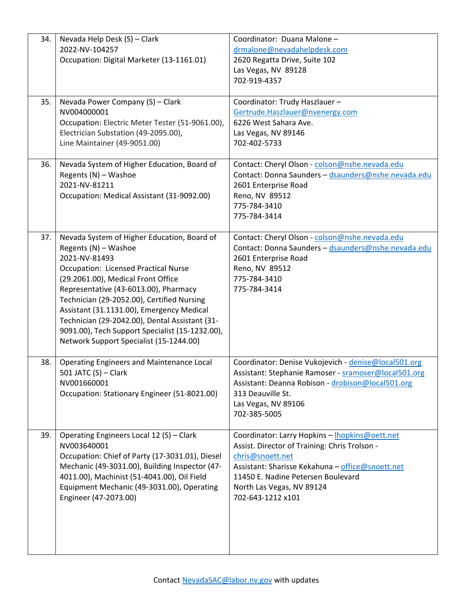| 34. | Nevada Help Desk (S) - Clark<br>2022-NV-104257<br>Occupation: Digital Marketer (13-1161.01)                                                                                                                                                                                                                                                                                                                                                                   | Coordinator: Duana Malone -<br>drmalone@nevadahelpdesk.com<br>2620 Regatta Drive, Suite 102<br>Las Vegas, NV 89128<br>702-919-4357                                                                                                                              |
|-----|---------------------------------------------------------------------------------------------------------------------------------------------------------------------------------------------------------------------------------------------------------------------------------------------------------------------------------------------------------------------------------------------------------------------------------------------------------------|-----------------------------------------------------------------------------------------------------------------------------------------------------------------------------------------------------------------------------------------------------------------|
| 35. | Nevada Power Company (S) - Clark<br>NV004000001<br>Occupation: Electric Meter Tester (51-9061.00),<br>Electrician Substation (49-2095.00),<br>Line Maintainer (49-9051.00)                                                                                                                                                                                                                                                                                    | Coordinator: Trudy Haszlauer-<br>Gertrude.Haszlauer@nvenergy.com<br>6226 West Sahara Ave.<br>Las Vegas, NV 89146<br>702-402-5733                                                                                                                                |
| 36. | Nevada System of Higher Education, Board of<br>Regents (N) - Washoe<br>2021-NV-81211<br>Occupation: Medical Assistant (31-9092.00)                                                                                                                                                                                                                                                                                                                            | Contact: Cheryl Olson - colson@nshe.nevada.edu<br>Contact: Donna Saunders - dsaunders@nshe.nevada.edu<br>2601 Enterprise Road<br>Reno, NV 89512<br>775-784-3410<br>775-784-3414                                                                                 |
| 37. | Nevada System of Higher Education, Board of<br>Regents (N) - Washoe<br>2021-NV-81493<br><b>Occupation: Licensed Practical Nurse</b><br>(29.2061.00), Medical Front Office<br>Representative (43-6013.00), Pharmacy<br>Technician (29-2052.00), Certified Nursing<br>Assistant (31.1131.00), Emergency Medical<br>Technician (29-2042.00), Dental Assistant (31-<br>9091.00), Tech Support Specialist (15-1232.00),<br>Network Support Specialist (15-1244.00) | Contact: Cheryl Olson - colson@nshe.nevada.edu<br>Contact: Donna Saunders - dsaunders@nshe.nevada.edu<br>2601 Enterprise Road<br>Reno, NV 89512<br>775-784-3410<br>775-784-3414                                                                                 |
| 38. | Operating Engineers and Maintenance Local<br>501 JATC (S) - Clark<br>NV001660001<br>Occupation: Stationary Engineer (51-8021.00)                                                                                                                                                                                                                                                                                                                              | Coordinator: Denise Vukojevich - denise@local501.org<br>Assistant: Stephanie Ramoser - sramoser@local501.org<br>Assistant: Deanna Robison - drobison@local501.org<br>313 Deauville St.<br>Las Vegas, NV 89106<br>702-385-5005                                   |
| 39. | Operating Engineers Local 12 (S) - Clark<br>NV003640001<br>Occupation: Chief of Party (17-3031.01), Diesel<br>Mechanic (49-3031.00), Building Inspector (47-<br>4011.00), Machinist (51-4041.00), Oil Field<br>Equipment Mechanic (49-3031.00), Operating<br>Engineer (47-2073.00)                                                                                                                                                                            | Coordinator: Larry Hopkins - Ihopkins@oett.net<br>Assist. Director of Training: Chris Trolson -<br>chris@snoett.net<br>Assistant: Sharisse Kekahuna - office@snoett.net<br>11450 E. Nadine Petersen Boulevard<br>North Las Vegas, NV 89124<br>702-643-1212 x101 |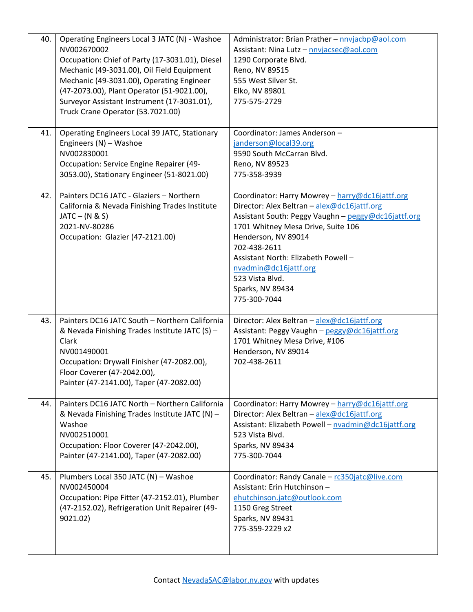| 40. | Operating Engineers Local 3 JATC (N) - Washoe<br>NV002670002<br>Occupation: Chief of Party (17-3031.01), Diesel<br>Mechanic (49-3031.00), Oil Field Equipment<br>Mechanic (49-3031.00), Operating Engineer<br>(47-2073.00), Plant Operator (51-9021.00),<br>Surveyor Assistant Instrument (17-3031.01),<br>Truck Crane Operator (53.7021.00) | Administrator: Brian Prather - nnvjacbp@aol.com<br>Assistant: Nina Lutz - nnvjacsec@aol.com<br>1290 Corporate Blvd.<br>Reno, NV 89515<br>555 West Silver St.<br>Elko, NV 89801<br>775-575-2729                                                                                                                                                            |
|-----|----------------------------------------------------------------------------------------------------------------------------------------------------------------------------------------------------------------------------------------------------------------------------------------------------------------------------------------------|-----------------------------------------------------------------------------------------------------------------------------------------------------------------------------------------------------------------------------------------------------------------------------------------------------------------------------------------------------------|
| 41. | Operating Engineers Local 39 JATC, Stationary<br>Engineers (N) - Washoe<br>NV002830001<br>Occupation: Service Engine Repairer (49-<br>3053.00), Stationary Engineer (51-8021.00)                                                                                                                                                             | Coordinator: James Anderson -<br>janderson@local39.org<br>9590 South McCarran Blvd.<br>Reno, NV 89523<br>775-358-3939                                                                                                                                                                                                                                     |
| 42. | Painters DC16 JATC - Glaziers - Northern<br>California & Nevada Finishing Trades Institute<br>$JATC - (N & S)$<br>2021-NV-80286<br>Occupation: Glazier (47-2121.00)                                                                                                                                                                          | Coordinator: Harry Mowrey - harry@dc16jattf.org<br>Director: Alex Beltran - alex@dc16jattf.org<br>Assistant South: Peggy Vaughn - peggy@dc16jattf.org<br>1701 Whitney Mesa Drive, Suite 106<br>Henderson, NV 89014<br>702-438-2611<br>Assistant North: Elizabeth Powell -<br>nvadmin@dc16jattf.org<br>523 Vista Blvd.<br>Sparks, NV 89434<br>775-300-7044 |
| 43. | Painters DC16 JATC South - Northern California<br>& Nevada Finishing Trades Institute JATC (S) -<br>Clark<br>NV001490001<br>Occupation: Drywall Finisher (47-2082.00),<br>Floor Coverer (47-2042.00),<br>Painter (47-2141.00), Taper (47-2082.00)                                                                                            | Director: Alex Beltran - alex@dc16jattf.org<br>Assistant: Peggy Vaughn - peggy@dc16jattf.org<br>1701 Whitney Mesa Drive, #106<br>Henderson, NV 89014<br>702-438-2611                                                                                                                                                                                      |
| 44. | Painters DC16 JATC North - Northern California<br>& Nevada Finishing Trades Institute JATC (N) -<br>Washoe<br>NV002510001<br>Occupation: Floor Coverer (47-2042.00),<br>Painter (47-2141.00), Taper (47-2082.00)                                                                                                                             | Coordinator: Harry Mowrey - harry@dc16jattf.org<br>Director: Alex Beltran - alex@dc16jattf.org<br>Assistant: Elizabeth Powell - nvadmin@dc16jattf.org<br>523 Vista Blvd.<br>Sparks, NV 89434<br>775-300-7044                                                                                                                                              |
| 45. | Plumbers Local 350 JATC (N) - Washoe<br>NV002450004<br>Occupation: Pipe Fitter (47-2152.01), Plumber<br>(47-2152.02), Refrigeration Unit Repairer (49-<br>9021.02)                                                                                                                                                                           | Coordinator: Randy Canale - rc350jatc@live.com<br>Assistant: Erin Hutchinson -<br>ehutchinson.jatc@outlook.com<br>1150 Greg Street<br>Sparks, NV 89431<br>775-359-2229 x2                                                                                                                                                                                 |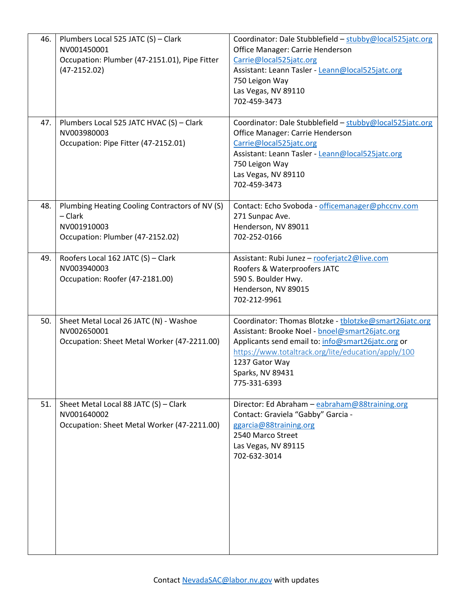| 46. | Plumbers Local 525 JATC (S) - Clark<br>NV001450001<br>Occupation: Plumber (47-2151.01), Pipe Fitter<br>$(47-2152.02)$ | Coordinator: Dale Stubblefield - stubby@local525jatc.org<br>Office Manager: Carrie Henderson<br>Carrie@local525jatc.org<br>Assistant: Leann Tasler - Leann@local525jatc.org<br>750 Leigon Way<br>Las Vegas, NV 89110<br>702-459-3473                                       |
|-----|-----------------------------------------------------------------------------------------------------------------------|----------------------------------------------------------------------------------------------------------------------------------------------------------------------------------------------------------------------------------------------------------------------------|
| 47. | Plumbers Local 525 JATC HVAC (S) - Clark<br>NV003980003<br>Occupation: Pipe Fitter (47-2152.01)                       | Coordinator: Dale Stubblefield - stubby@local525jatc.org<br>Office Manager: Carrie Henderson<br>Carrie@local525jatc.org<br>Assistant: Leann Tasler - Leann@local525jatc.org<br>750 Leigon Way<br>Las Vegas, NV 89110<br>702-459-3473                                       |
| 48. | Plumbing Heating Cooling Contractors of NV (S)<br>- Clark<br>NV001910003<br>Occupation: Plumber (47-2152.02)          | Contact: Echo Svoboda - officemanager@phccnv.com<br>271 Sunpac Ave.<br>Henderson, NV 89011<br>702-252-0166                                                                                                                                                                 |
| 49. | Roofers Local 162 JATC (S) - Clark<br>NV003940003<br>Occupation: Roofer (47-2181.00)                                  | Assistant: Rubi Junez - rooferjatc2@live.com<br>Roofers & Waterproofers JATC<br>590 S. Boulder Hwy.<br>Henderson, NV 89015<br>702-212-9961                                                                                                                                 |
| 50. | Sheet Metal Local 26 JATC (N) - Washoe<br>NV002650001<br>Occupation: Sheet Metal Worker (47-2211.00)                  | Coordinator: Thomas Blotzke - tblotzke@smart26jatc.org<br>Assistant: Brooke Noel - bnoel@smart26jatc.org<br>Applicants send email to: info@smart26jatc.org or<br>https://www.totaltrack.org/lite/education/apply/100<br>1237 Gator Way<br>Sparks, NV 89431<br>775-331-6393 |
| 51. | Sheet Metal Local 88 JATC (S) - Clark<br>NV001640002<br>Occupation: Sheet Metal Worker (47-2211.00)                   | Director: Ed Abraham - eabraham@88training.org<br>Contact: Graviela "Gabby" Garcia -<br>ggarcia@88training.org<br>2540 Marco Street<br>Las Vegas, NV 89115<br>702-632-3014                                                                                                 |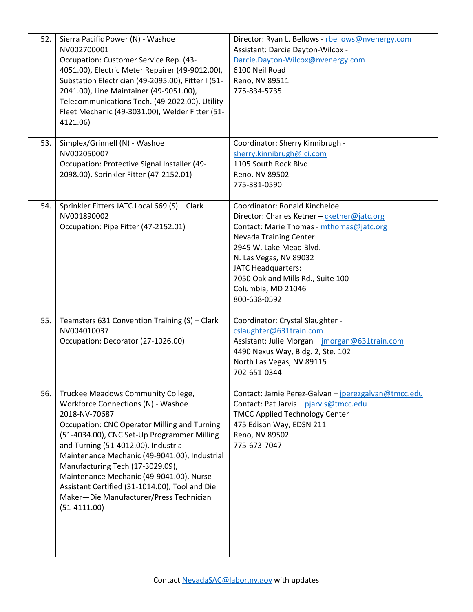| 52. | Sierra Pacific Power (N) - Washoe<br>NV002700001<br>Occupation: Customer Service Rep. (43-<br>4051.00), Electric Meter Repairer (49-9012.00),<br>Substation Electrician (49-2095.00), Fitter I (51-<br>2041.00), Line Maintainer (49-9051.00),<br>Telecommunications Tech. (49-2022.00), Utility<br>Fleet Mechanic (49-3031.00), Welder Fitter (51-<br>4121.06)                                                                                                                         | Director: Ryan L. Bellows - rbellows@nvenergy.com<br>Assistant: Darcie Dayton-Wilcox -<br>Darcie.Dayton-Wilcox@nvenergy.com<br>6100 Neil Road<br>Reno, NV 89511<br>775-834-5735                                                                                                                           |
|-----|-----------------------------------------------------------------------------------------------------------------------------------------------------------------------------------------------------------------------------------------------------------------------------------------------------------------------------------------------------------------------------------------------------------------------------------------------------------------------------------------|-----------------------------------------------------------------------------------------------------------------------------------------------------------------------------------------------------------------------------------------------------------------------------------------------------------|
| 53. | Simplex/Grinnell (N) - Washoe<br>NV002050007<br>Occupation: Protective Signal Installer (49-<br>2098.00), Sprinkler Fitter (47-2152.01)                                                                                                                                                                                                                                                                                                                                                 | Coordinator: Sherry Kinnibrugh -<br>sherry.kinnibrugh@jci.com<br>1105 South Rock Blvd.<br>Reno, NV 89502<br>775-331-0590                                                                                                                                                                                  |
| 54. | Sprinkler Fitters JATC Local 669 (S) - Clark<br>NV001890002<br>Occupation: Pipe Fitter (47-2152.01)                                                                                                                                                                                                                                                                                                                                                                                     | Coordinator: Ronald Kincheloe<br>Director: Charles Ketner - cketner@jatc.org<br>Contact: Marie Thomas - mthomas@jatc.org<br>Nevada Training Center:<br>2945 W. Lake Mead Blvd.<br>N. Las Vegas, NV 89032<br>JATC Headquarters:<br>7050 Oakland Mills Rd., Suite 100<br>Columbia, MD 21046<br>800-638-0592 |
| 55. | Teamsters 631 Convention Training (S) - Clark<br>NV004010037<br>Occupation: Decorator (27-1026.00)                                                                                                                                                                                                                                                                                                                                                                                      | Coordinator: Crystal Slaughter -<br>cslaughter@631train.com<br>Assistant: Julie Morgan - jmorgan@631train.com<br>4490 Nexus Way, Bldg. 2, Ste. 102<br>North Las Vegas, NV 89115<br>702-651-0344                                                                                                           |
| 56. | Truckee Meadows Community College,<br>Workforce Connections (N) - Washoe<br>2018-NV-70687<br><b>Occupation: CNC Operator Milling and Turning</b><br>(51-4034.00), CNC Set-Up Programmer Milling<br>and Turning (51-4012.00), Industrial<br>Maintenance Mechanic (49-9041.00), Industrial<br>Manufacturing Tech (17-3029.09),<br>Maintenance Mechanic (49-9041.00), Nurse<br>Assistant Certified (31-1014.00), Tool and Die<br>Maker-Die Manufacturer/Press Technician<br>$(51-4111.00)$ | Contact: Jamie Perez-Galvan - jperezgalvan@tmcc.edu<br>Contact: Pat Jarvis - pjarvis@tmcc.edu<br><b>TMCC Applied Technology Center</b><br>475 Edison Way, EDSN 211<br>Reno, NV 89502<br>775-673-7047                                                                                                      |